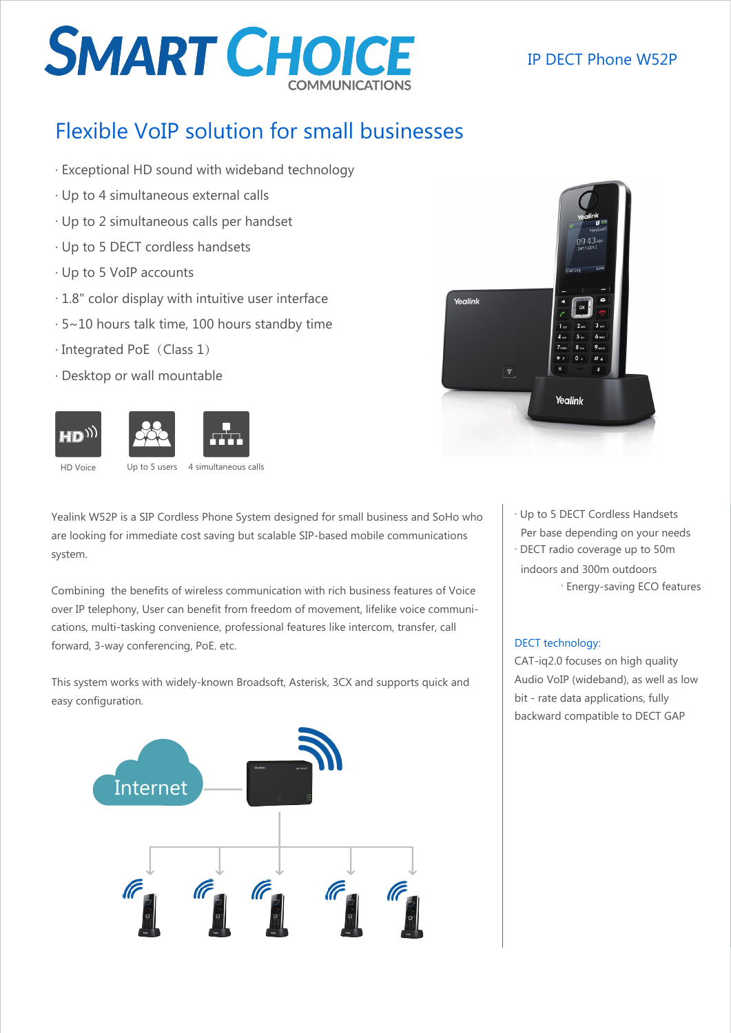# **SMART CHOICE**

## IP DECT Phone W52P

# Flexible VoIP solution for small businesses

- . Exceptional HD sound with wideband technology
- . Up to 4 simultaneous external calls
- . Up to 2 simultaneous calls per handset
- . Up to 5 DECT cordless handsets
- . Up to 5 VoIP accounts
- . 1.8" color display with intuitive user interface
- . 5~10 hours talk time, 100 hours standby time
- · Integrated PoE (Class 1)
- . Desktop or wall mountable



HD Voice Up to 5 users 4 simultaneous calls

Yealink W52P is a SIP Cordless Phone System designed for small business and SoHo who are looking for immediate cost saving but scalable SIP-based mobile communications system.

Combining the benefits of wireless communication with rich business features of Voice over IP telephony, User can benefit from freedom of movement, lifelike voice communications, multi-tasking convenience, professional features like intercom, transfer, call forward, 3-way conferencing, PoE, etc.

This system works with widely-known Broadsoft, Asterisk, 3CX and supports quick and easy configuration.





. Up to 5 DECT Cordless Handsets Per base depending on your needs

. DECT radio coverage up to 50m indoors and 300m outdoors . Energy-saving ECO features

### DECT technology:

CAT-iq2.0 focuses on high quality Audio VoIP (wideband), as well as low bit - rate data applications, fully backward compatible to DECT GAP